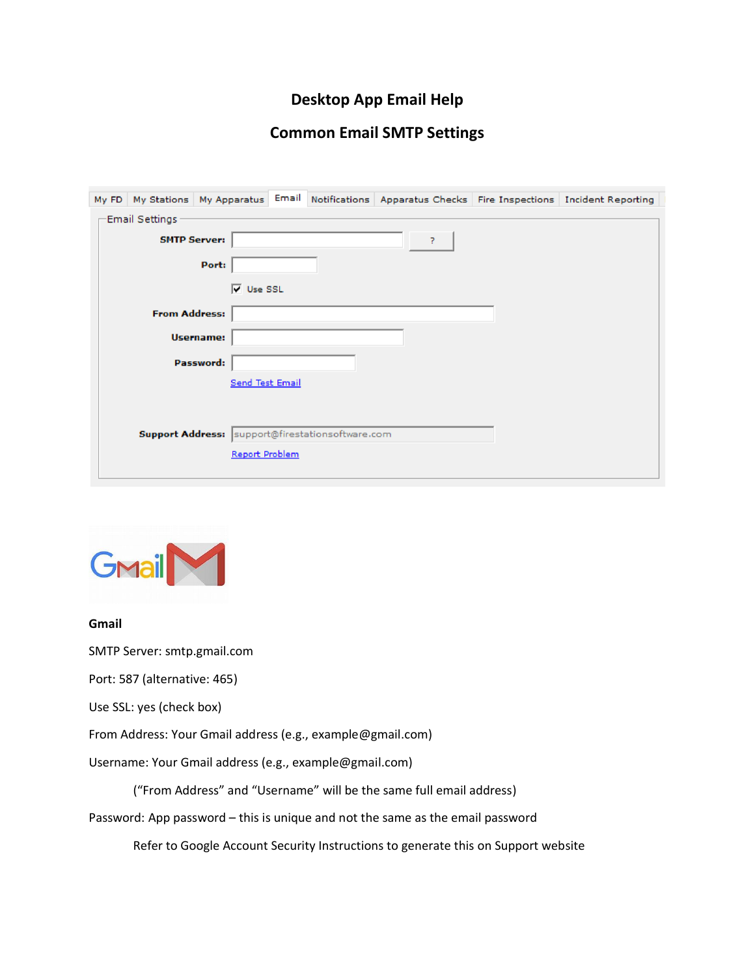## **Desktop App Email Help**

### **Common Email SMTP Settings**

| My FD                    |                                                  | My Stations   My Apparatus |  |  |  |  | Email Notifications Apparatus Checks Fire Inspections Incident Reporting |
|--------------------------|--------------------------------------------------|----------------------------|--|--|--|--|--------------------------------------------------------------------------|
| Email Settings           |                                                  |                            |  |  |  |  |                                                                          |
| <b>SMTP Server:</b><br>7 |                                                  |                            |  |  |  |  |                                                                          |
|                          |                                                  | Port:                      |  |  |  |  |                                                                          |
|                          |                                                  | $\overline{V}$ Use SSL     |  |  |  |  |                                                                          |
|                          | <b>From Address:</b>                             |                            |  |  |  |  |                                                                          |
|                          |                                                  | <b>Username:</b>           |  |  |  |  |                                                                          |
|                          |                                                  | Password:                  |  |  |  |  |                                                                          |
|                          |                                                  | <b>Send Test Email</b>     |  |  |  |  |                                                                          |
|                          |                                                  |                            |  |  |  |  |                                                                          |
|                          | Support Address: support@firestationsoftware.com |                            |  |  |  |  |                                                                          |
|                          |                                                  | Report Problem             |  |  |  |  |                                                                          |
|                          |                                                  |                            |  |  |  |  |                                                                          |



#### **Gmail**

SMTP Server: smtp.gmail.com

Port: 587 (alternative: 465)

Use SSL: yes (check box)

From Address: Your Gmail address (e.g., example@gmail.com)

Username: Your Gmail address (e.g., example@gmail.com)

("From Address" and "Username" will be the same full email address)

Password: App password – this is unique and not the same as the email password

Refer to Google Account Security Instructions to generate this on Support website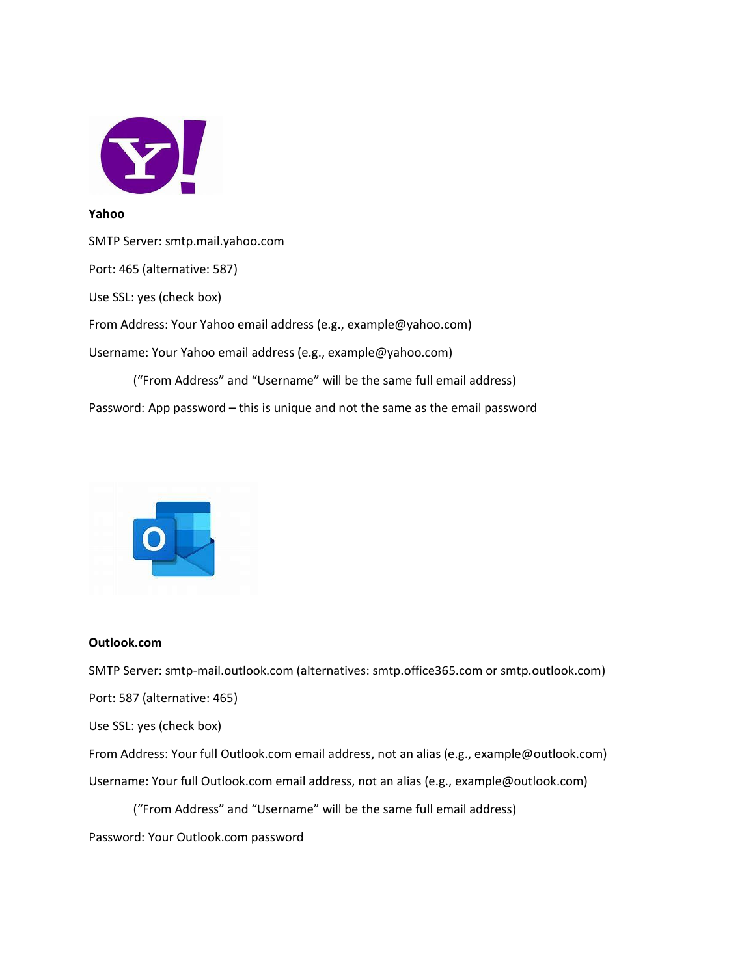

#### **Yahoo**

SMTP Server: smtp.mail.yahoo.com Port: 465 (alternative: 587) Use SSL: yes (check box) From Address: Your Yahoo email address (e.g., example@yahoo.com) Username: Your Yahoo email address (e.g., example@yahoo.com) ("From Address" and "Username" will be the same full email address) Password: App password – this is unique and not the same as the email password



#### **Outlook.com**

SMTP Server: smtp-mail.outlook.com (alternatives: smtp.office365.com or smtp.outlook.com)

Port: 587 (alternative: 465)

Use SSL: yes (check box)

From Address: Your full Outlook.com email address, not an alias (e.g., example@outlook.com)

Username: Your full Outlook.com email address, not an alias (e.g., example@outlook.com)

("From Address" and "Username" will be the same full email address)

Password: Your Outlook.com password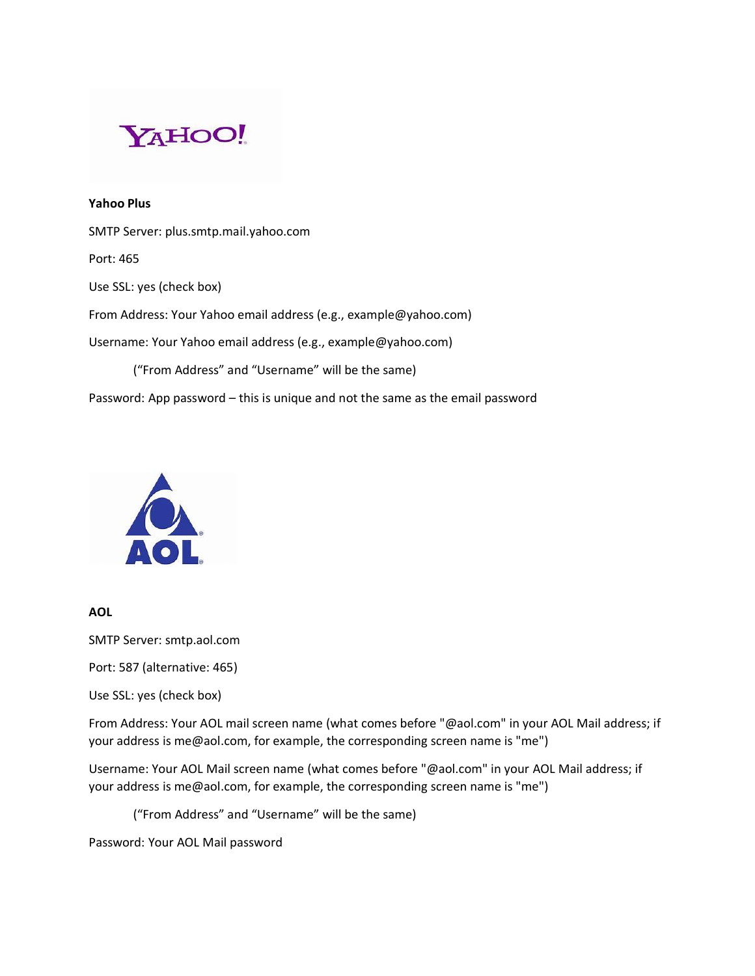

**Yahoo Plus** SMTP Server: plus.smtp.mail.yahoo.com Port: 465 Use SSL: yes (check box) From Address: Your Yahoo email address (e.g., example@yahoo.com) Username: Your Yahoo email address (e.g., example@yahoo.com) ("From Address" and "Username" will be the same) Password: App password – this is unique and not the same as the email password



**AOL**

SMTP Server: smtp.aol.com

Port: 587 (alternative: 465)

Use SSL: yes (check box)

From Address: Your AOL mail screen name (what comes before "@aol.com" in your AOL Mail address; if your address is me@aol.com, for example, the corresponding screen name is "me")

Username: Your AOL Mail screen name (what comes before "@aol.com" in your AOL Mail address; if your address is me@aol.com, for example, the corresponding screen name is "me")

("From Address" and "Username" will be the same)

Password: Your AOL Mail password